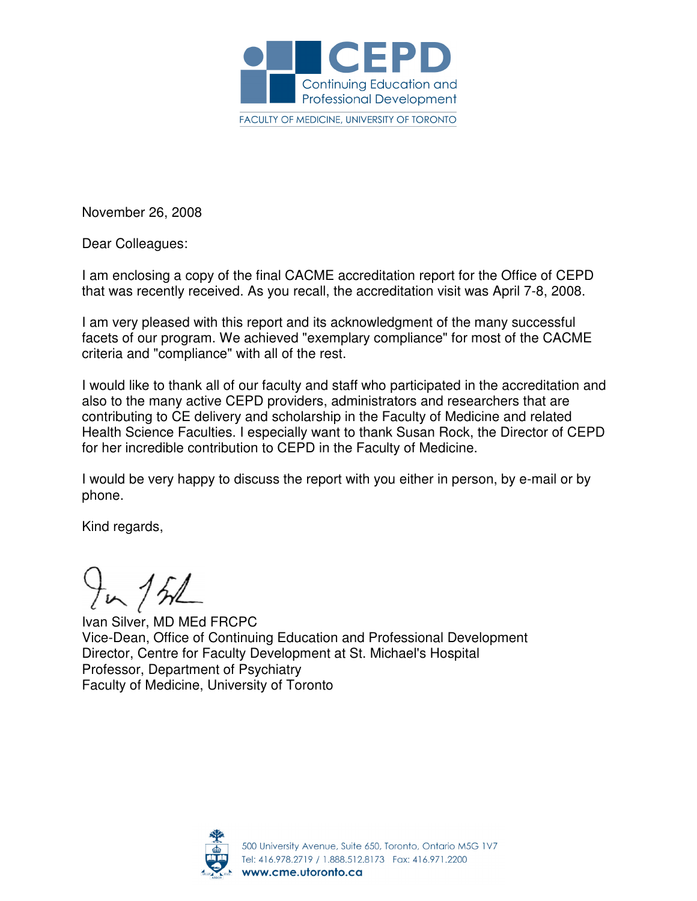

November 26, 2008

Dear Colleagues:

I am enclosing a copy of the final CACME accreditation report for the Office of CEPD that was recently received. As you recall, the accreditation visit was April 7-8, 2008.

I am very pleased with this report and its acknowledgment of the many successful facets of our program. We achieved "exemplary compliance" for most of the CACME criteria and "compliance" with all of the rest.

I would like to thank all of our faculty and staff who participated in the accreditation and also to the many active CEPD providers, administrators and researchers that are contributing to CE delivery and scholarship in the Faculty of Medicine and related Health Science Faculties. I especially want to thank Susan Rock, the Director of CEPD for her incredible contribution to CEPD in the Faculty of Medicine.

I would be very happy to discuss the report with you either in person, by e-mail or by phone.

Kind regards,

 $H_{\nu}$  /  $h$ 

Ivan Silver, MD MEd FRCPC Vice-Dean, Office of Continuing Education and Professional Development Director, Centre for Faculty Development at St. Michael's Hospital Professor, Department of Psychiatry Faculty of Medicine, University of Toronto

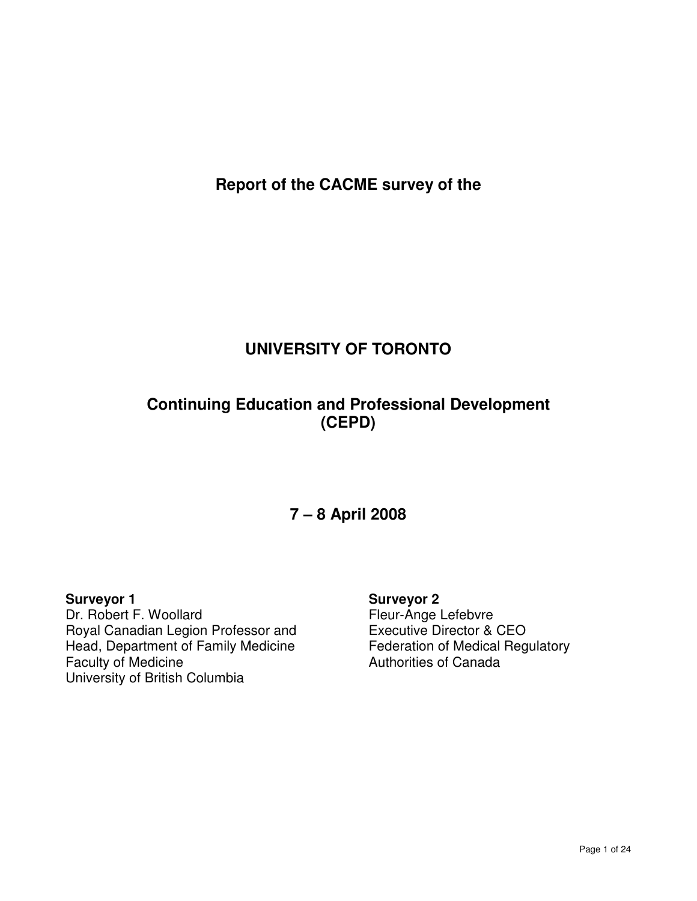**Report of the CACME survey of the** 

# **UNIVERSITY OF TORONTO**

# **Continuing Education and Professional Development (CEPD)**

# **7 – 8 April 2008**

**Surveyor 1**  Dr. Robert F. Woollard Royal Canadian Legion Professor and Head, Department of Family Medicine Faculty of Medicine University of British Columbia

**Surveyor 2**  Fleur-Ange Lefebvre Executive Director & CEO Federation of Medical Regulatory Authorities of Canada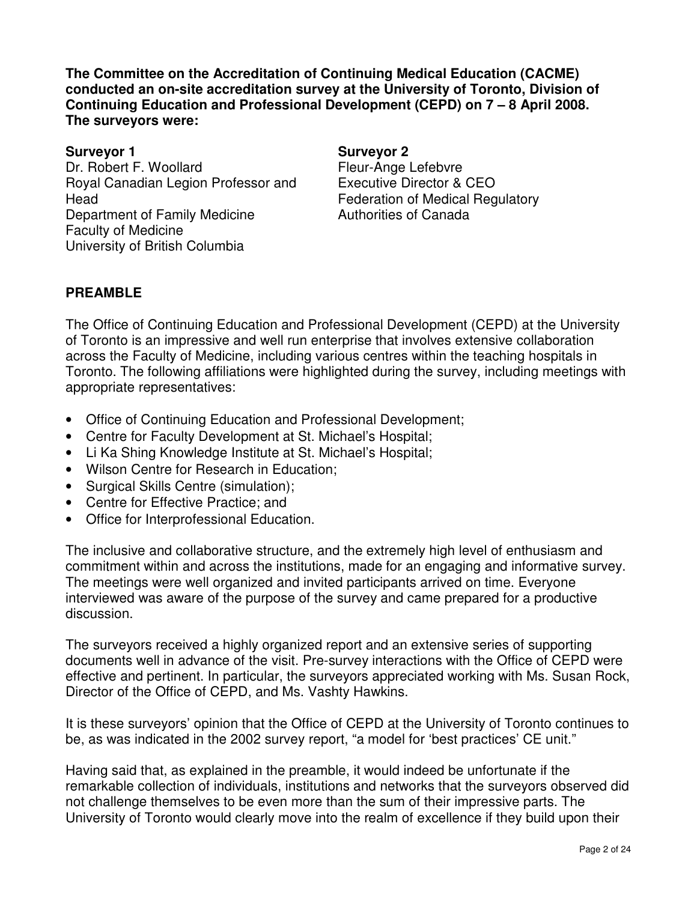**The Committee on the Accreditation of Continuing Medical Education (CACME) conducted an on-site accreditation survey at the University of Toronto, Division of Continuing Education and Professional Development (CEPD) on 7 – 8 April 2008. The surveyors were:** 

**Surveyor 1 Surveyor 2**  Dr. Robert F. Woollard Royal Canadian Legion Professor and Head Department of Family Medicine Faculty of Medicine University of British Columbia

Fleur-Ange Lefebvre Executive Director & CEO Federation of Medical Regulatory Authorities of Canada

# **PREAMBLE**

The Office of Continuing Education and Professional Development (CEPD) at the University of Toronto is an impressive and well run enterprise that involves extensive collaboration across the Faculty of Medicine, including various centres within the teaching hospitals in Toronto. The following affiliations were highlighted during the survey, including meetings with appropriate representatives:

- Office of Continuing Education and Professional Development;
- Centre for Faculty Development at St. Michael's Hospital;
- Li Ka Shing Knowledge Institute at St. Michael's Hospital;
- Wilson Centre for Research in Education;
- Surgical Skills Centre (simulation);
- Centre for Effective Practice; and
- Office for Interprofessional Education.

The inclusive and collaborative structure, and the extremely high level of enthusiasm and commitment within and across the institutions, made for an engaging and informative survey. The meetings were well organized and invited participants arrived on time. Everyone interviewed was aware of the purpose of the survey and came prepared for a productive discussion.

The surveyors received a highly organized report and an extensive series of supporting documents well in advance of the visit. Pre-survey interactions with the Office of CEPD were effective and pertinent. In particular, the surveyors appreciated working with Ms. Susan Rock, Director of the Office of CEPD, and Ms. Vashty Hawkins.

It is these surveyors' opinion that the Office of CEPD at the University of Toronto continues to be, as was indicated in the 2002 survey report, "a model for 'best practices' CE unit."

Having said that, as explained in the preamble, it would indeed be unfortunate if the remarkable collection of individuals, institutions and networks that the surveyors observed did not challenge themselves to be even more than the sum of their impressive parts. The University of Toronto would clearly move into the realm of excellence if they build upon their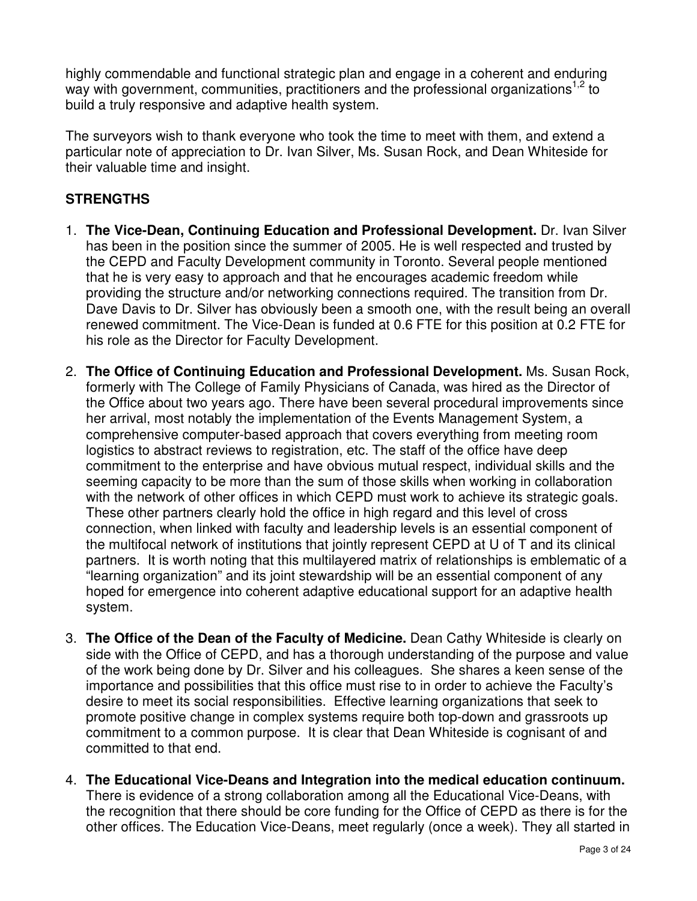highly commendable and functional strategic plan and engage in a coherent and enduring way with government, communities, practitioners and the professional organizations<sup>1,2</sup> to build a truly responsive and adaptive health system.

The surveyors wish to thank everyone who took the time to meet with them, and extend a particular note of appreciation to Dr. Ivan Silver, Ms. Susan Rock, and Dean Whiteside for their valuable time and insight.

# **STRENGTHS**

- 1. **The Vice-Dean, Continuing Education and Professional Development.** Dr. Ivan Silver has been in the position since the summer of 2005. He is well respected and trusted by the CEPD and Faculty Development community in Toronto. Several people mentioned that he is very easy to approach and that he encourages academic freedom while providing the structure and/or networking connections required. The transition from Dr. Dave Davis to Dr. Silver has obviously been a smooth one, with the result being an overall renewed commitment. The Vice-Dean is funded at 0.6 FTE for this position at 0.2 FTE for his role as the Director for Faculty Development.
- 2. **The Office of Continuing Education and Professional Development.** Ms. Susan Rock, formerly with The College of Family Physicians of Canada, was hired as the Director of the Office about two years ago. There have been several procedural improvements since her arrival, most notably the implementation of the Events Management System, a comprehensive computer-based approach that covers everything from meeting room logistics to abstract reviews to registration, etc. The staff of the office have deep commitment to the enterprise and have obvious mutual respect, individual skills and the seeming capacity to be more than the sum of those skills when working in collaboration with the network of other offices in which CEPD must work to achieve its strategic goals. These other partners clearly hold the office in high regard and this level of cross connection, when linked with faculty and leadership levels is an essential component of the multifocal network of institutions that jointly represent CEPD at U of T and its clinical partners. It is worth noting that this multilayered matrix of relationships is emblematic of a "learning organization" and its joint stewardship will be an essential component of any hoped for emergence into coherent adaptive educational support for an adaptive health system.
- 3. **The Office of the Dean of the Faculty of Medicine.** Dean Cathy Whiteside is clearly on side with the Office of CEPD, and has a thorough understanding of the purpose and value of the work being done by Dr. Silver and his colleagues. She shares a keen sense of the importance and possibilities that this office must rise to in order to achieve the Faculty's desire to meet its social responsibilities. Effective learning organizations that seek to promote positive change in complex systems require both top-down and grassroots up commitment to a common purpose. It is clear that Dean Whiteside is cognisant of and committed to that end.
- 4. **The Educational Vice-Deans and Integration into the medical education continuum.** There is evidence of a strong collaboration among all the Educational Vice-Deans, with the recognition that there should be core funding for the Office of CEPD as there is for the other offices. The Education Vice-Deans, meet regularly (once a week). They all started in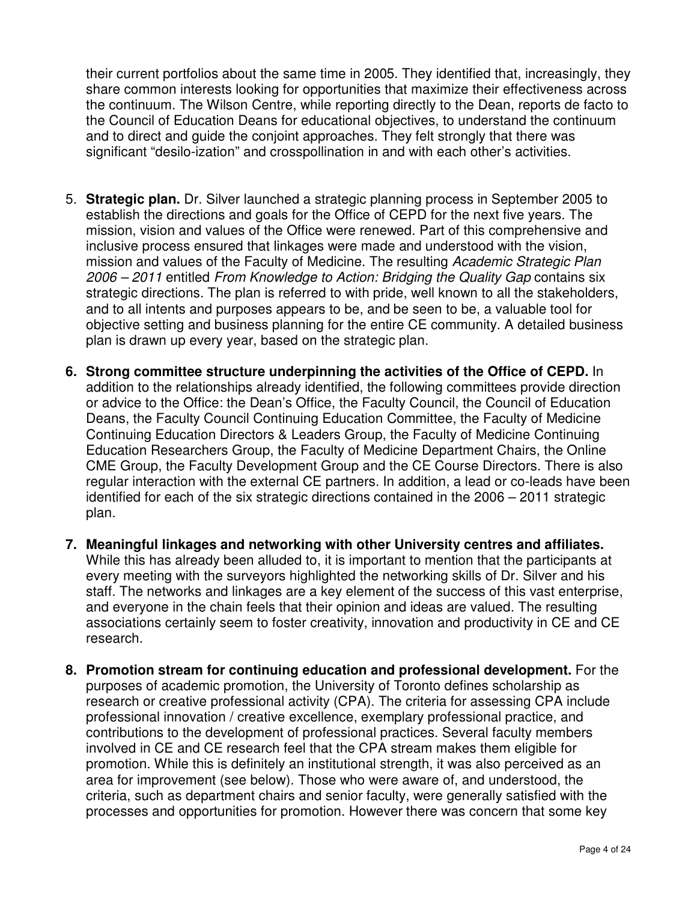their current portfolios about the same time in 2005. They identified that, increasingly, they share common interests looking for opportunities that maximize their effectiveness across the continuum. The Wilson Centre, while reporting directly to the Dean, reports de facto to the Council of Education Deans for educational objectives, to understand the continuum and to direct and guide the conjoint approaches. They felt strongly that there was significant "desilo-ization" and crosspollination in and with each other's activities.

- 5. **Strategic plan.** Dr. Silver launched a strategic planning process in September 2005 to establish the directions and goals for the Office of CEPD for the next five years. The mission, vision and values of the Office were renewed. Part of this comprehensive and inclusive process ensured that linkages were made and understood with the vision, mission and values of the Faculty of Medicine. The resulting Academic Strategic Plan 2006 – 2011 entitled From Knowledge to Action: Bridging the Quality Gap contains six strategic directions. The plan is referred to with pride, well known to all the stakeholders, and to all intents and purposes appears to be, and be seen to be, a valuable tool for objective setting and business planning for the entire CE community. A detailed business plan is drawn up every year, based on the strategic plan.
- **6. Strong committee structure underpinning the activities of the Office of CEPD.** In addition to the relationships already identified, the following committees provide direction or advice to the Office: the Dean's Office, the Faculty Council, the Council of Education Deans, the Faculty Council Continuing Education Committee, the Faculty of Medicine Continuing Education Directors & Leaders Group, the Faculty of Medicine Continuing Education Researchers Group, the Faculty of Medicine Department Chairs, the Online CME Group, the Faculty Development Group and the CE Course Directors. There is also regular interaction with the external CE partners. In addition, a lead or co-leads have been identified for each of the six strategic directions contained in the 2006 – 2011 strategic plan.
- **7. Meaningful linkages and networking with other University centres and affiliates.** While this has already been alluded to, it is important to mention that the participants at every meeting with the surveyors highlighted the networking skills of Dr. Silver and his staff. The networks and linkages are a key element of the success of this vast enterprise, and everyone in the chain feels that their opinion and ideas are valued. The resulting associations certainly seem to foster creativity, innovation and productivity in CE and CE research.
- **8. Promotion stream for continuing education and professional development.** For the purposes of academic promotion, the University of Toronto defines scholarship as research or creative professional activity (CPA). The criteria for assessing CPA include professional innovation / creative excellence, exemplary professional practice, and contributions to the development of professional practices. Several faculty members involved in CE and CE research feel that the CPA stream makes them eligible for promotion. While this is definitely an institutional strength, it was also perceived as an area for improvement (see below). Those who were aware of, and understood, the criteria, such as department chairs and senior faculty, were generally satisfied with the processes and opportunities for promotion. However there was concern that some key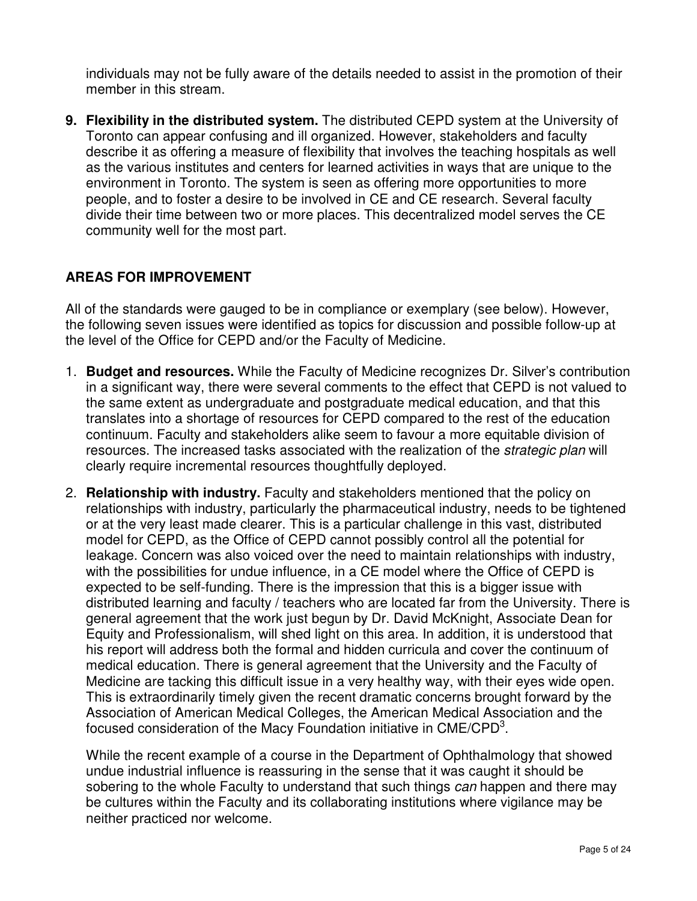individuals may not be fully aware of the details needed to assist in the promotion of their member in this stream.

**9. Flexibility in the distributed system.** The distributed CEPD system at the University of Toronto can appear confusing and ill organized. However, stakeholders and faculty describe it as offering a measure of flexibility that involves the teaching hospitals as well as the various institutes and centers for learned activities in ways that are unique to the environment in Toronto. The system is seen as offering more opportunities to more people, and to foster a desire to be involved in CE and CE research. Several faculty divide their time between two or more places. This decentralized model serves the CE community well for the most part.

# **AREAS FOR IMPROVEMENT**

All of the standards were gauged to be in compliance or exemplary (see below). However, the following seven issues were identified as topics for discussion and possible follow-up at the level of the Office for CEPD and/or the Faculty of Medicine.

- 1. **Budget and resources.** While the Faculty of Medicine recognizes Dr. Silver's contribution in a significant way, there were several comments to the effect that CEPD is not valued to the same extent as undergraduate and postgraduate medical education, and that this translates into a shortage of resources for CEPD compared to the rest of the education continuum. Faculty and stakeholders alike seem to favour a more equitable division of resources. The increased tasks associated with the realization of the strategic plan will clearly require incremental resources thoughtfully deployed.
- 2. **Relationship with industry.** Faculty and stakeholders mentioned that the policy on relationships with industry, particularly the pharmaceutical industry, needs to be tightened or at the very least made clearer. This is a particular challenge in this vast, distributed model for CEPD, as the Office of CEPD cannot possibly control all the potential for leakage. Concern was also voiced over the need to maintain relationships with industry, with the possibilities for undue influence, in a CE model where the Office of CEPD is expected to be self-funding. There is the impression that this is a bigger issue with distributed learning and faculty / teachers who are located far from the University. There is general agreement that the work just begun by Dr. David McKnight, Associate Dean for Equity and Professionalism, will shed light on this area. In addition, it is understood that his report will address both the formal and hidden curricula and cover the continuum of medical education. There is general agreement that the University and the Faculty of Medicine are tacking this difficult issue in a very healthy way, with their eyes wide open. This is extraordinarily timely given the recent dramatic concerns brought forward by the Association of American Medical Colleges, the American Medical Association and the focused consideration of the Macy Foundation initiative in  $\text{CME/CPD}^3$ .

While the recent example of a course in the Department of Ophthalmology that showed undue industrial influence is reassuring in the sense that it was caught it should be sobering to the whole Faculty to understand that such things can happen and there may be cultures within the Faculty and its collaborating institutions where vigilance may be neither practiced nor welcome.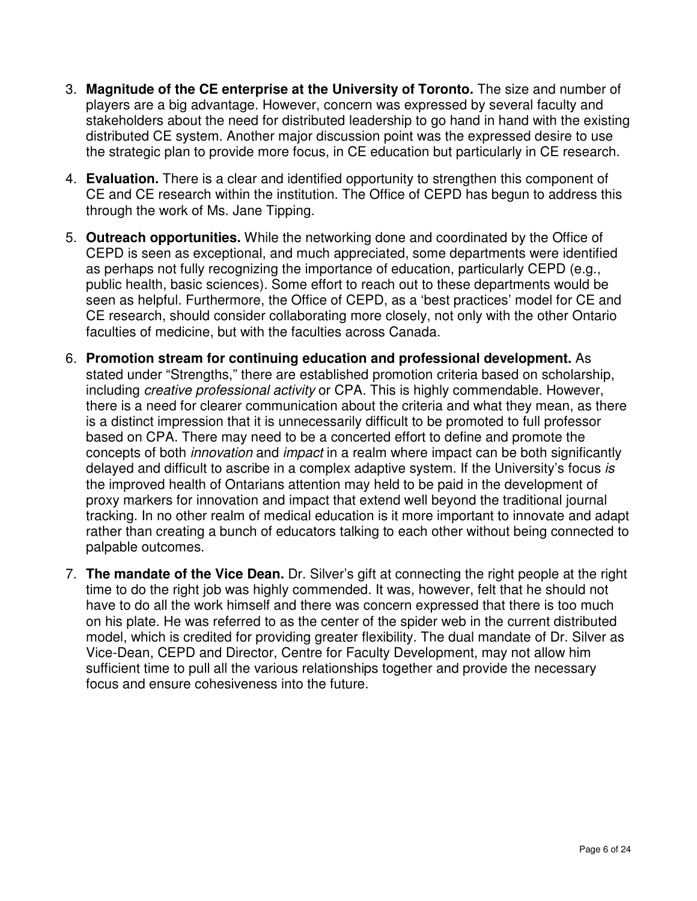- 3. **Magnitude of the CE enterprise at the University of Toronto.** The size and number of players are a big advantage. However, concern was expressed by several faculty and stakeholders about the need for distributed leadership to go hand in hand with the existing distributed CE system. Another major discussion point was the expressed desire to use the strategic plan to provide more focus, in CE education but particularly in CE research.
- 4. **Evaluation.** There is a clear and identified opportunity to strengthen this component of CE and CE research within the institution. The Office of CEPD has begun to address this through the work of Ms. Jane Tipping.
- 5. **Outreach opportunities.** While the networking done and coordinated by the Office of CEPD is seen as exceptional, and much appreciated, some departments were identified as perhaps not fully recognizing the importance of education, particularly CEPD (e.g., public health, basic sciences). Some effort to reach out to these departments would be seen as helpful. Furthermore, the Office of CEPD, as a 'best practices' model for CE and CE research, should consider collaborating more closely, not only with the other Ontario faculties of medicine, but with the faculties across Canada.
- 6. **Promotion stream for continuing education and professional development.** As stated under "Strengths," there are established promotion criteria based on scholarship, including creative professional activity or CPA. This is highly commendable. However, there is a need for clearer communication about the criteria and what they mean, as there is a distinct impression that it is unnecessarily difficult to be promoted to full professor based on CPA. There may need to be a concerted effort to define and promote the concepts of both innovation and impact in a realm where impact can be both significantly delayed and difficult to ascribe in a complex adaptive system. If the University's focus is the improved health of Ontarians attention may held to be paid in the development of proxy markers for innovation and impact that extend well beyond the traditional journal tracking. In no other realm of medical education is it more important to innovate and adapt rather than creating a bunch of educators talking to each other without being connected to palpable outcomes.
- 7. **The mandate of the Vice Dean.** Dr. Silver's gift at connecting the right people at the right time to do the right job was highly commended. It was, however, felt that he should not have to do all the work himself and there was concern expressed that there is too much on his plate. He was referred to as the center of the spider web in the current distributed model, which is credited for providing greater flexibility. The dual mandate of Dr. Silver as Vice-Dean, CEPD and Director, Centre for Faculty Development, may not allow him sufficient time to pull all the various relationships together and provide the necessary focus and ensure cohesiveness into the future.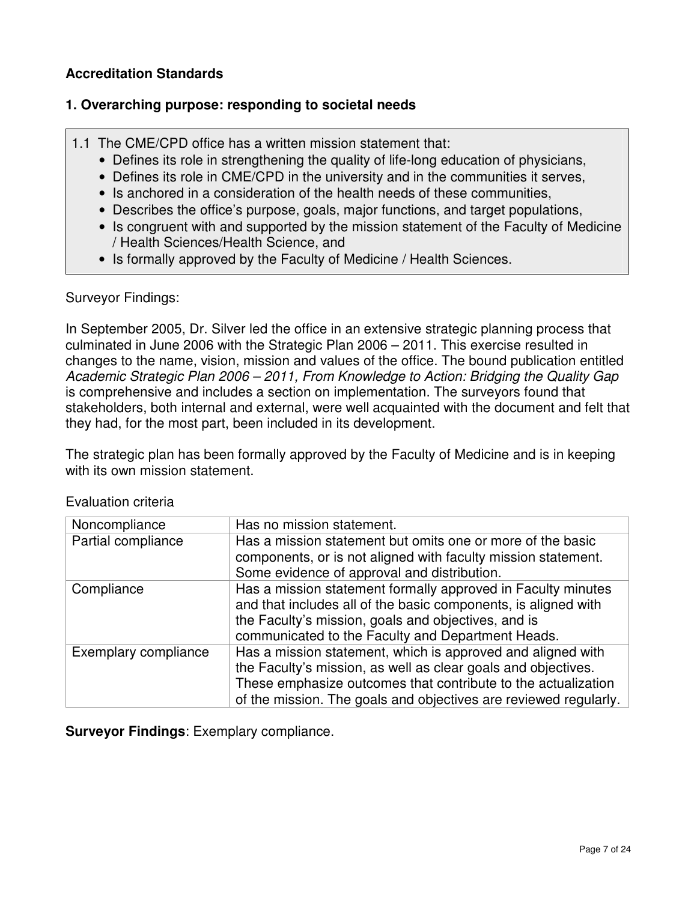#### **Accreditation Standards**

#### **1. Overarching purpose: responding to societal needs**

- 1.1 The CME/CPD office has a written mission statement that:
	- Defines its role in strengthening the quality of life-long education of physicians,
	- Defines its role in CME/CPD in the university and in the communities it serves,
	- Is anchored in a consideration of the health needs of these communities,
	- Describes the office's purpose, goals, major functions, and target populations,
	- Is congruent with and supported by the mission statement of the Faculty of Medicine / Health Sciences/Health Science, and
	- Is formally approved by the Faculty of Medicine / Health Sciences.

#### Surveyor Findings:

In September 2005, Dr. Silver led the office in an extensive strategic planning process that culminated in June 2006 with the Strategic Plan 2006 – 2011. This exercise resulted in changes to the name, vision, mission and values of the office. The bound publication entitled Academic Strategic Plan 2006 – 2011, From Knowledge to Action: Bridging the Quality Gap is comprehensive and includes a section on implementation. The surveyors found that stakeholders, both internal and external, were well acquainted with the document and felt that they had, for the most part, been included in its development.

The strategic plan has been formally approved by the Faculty of Medicine and is in keeping with its own mission statement.

| Noncompliance        | Has no mission statement.                                                                                                                                                                                                                                         |
|----------------------|-------------------------------------------------------------------------------------------------------------------------------------------------------------------------------------------------------------------------------------------------------------------|
| Partial compliance   | Has a mission statement but omits one or more of the basic<br>components, or is not aligned with faculty mission statement.<br>Some evidence of approval and distribution.                                                                                        |
| Compliance           | Has a mission statement formally approved in Faculty minutes<br>and that includes all of the basic components, is aligned with<br>the Faculty's mission, goals and objectives, and is<br>communicated to the Faculty and Department Heads.                        |
| Exemplary compliance | Has a mission statement, which is approved and aligned with<br>the Faculty's mission, as well as clear goals and objectives.<br>These emphasize outcomes that contribute to the actualization<br>of the mission. The goals and objectives are reviewed regularly. |

Evaluation criteria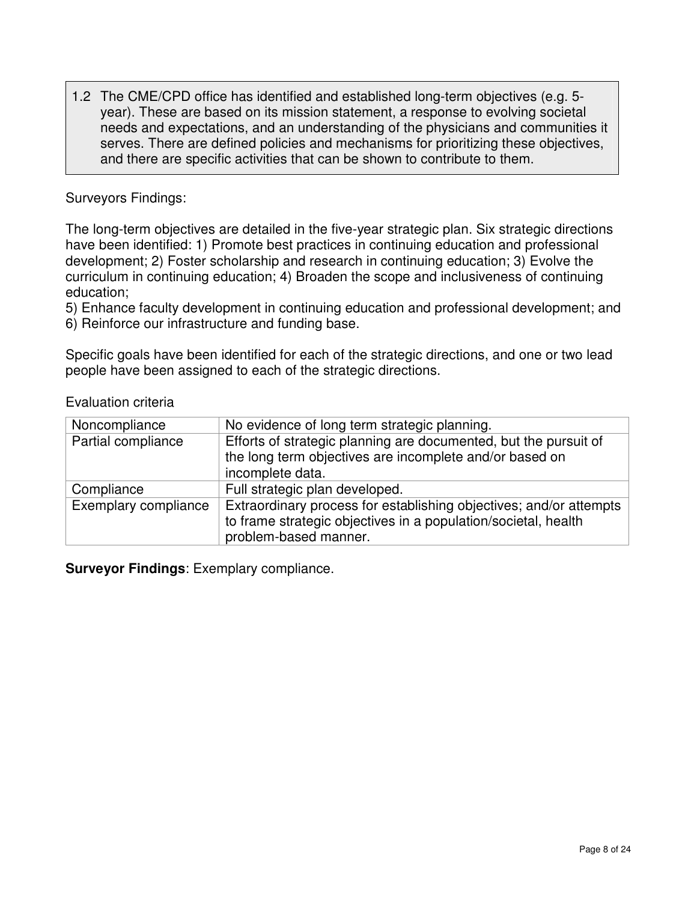1.2 The CME/CPD office has identified and established long-term objectives (e.g. 5 year). These are based on its mission statement, a response to evolving societal needs and expectations, and an understanding of the physicians and communities it serves. There are defined policies and mechanisms for prioritizing these objectives, and there are specific activities that can be shown to contribute to them.

#### Surveyors Findings:

The long-term objectives are detailed in the five-year strategic plan. Six strategic directions have been identified: 1) Promote best practices in continuing education and professional development; 2) Foster scholarship and research in continuing education; 3) Evolve the curriculum in continuing education; 4) Broaden the scope and inclusiveness of continuing education;

5) Enhance faculty development in continuing education and professional development; and

6) Reinforce our infrastructure and funding base.

Specific goals have been identified for each of the strategic directions, and one or two lead people have been assigned to each of the strategic directions.

Evaluation criteria

| Noncompliance        | No evidence of long term strategic planning.                                                                                                                  |
|----------------------|---------------------------------------------------------------------------------------------------------------------------------------------------------------|
| Partial compliance   | Efforts of strategic planning are documented, but the pursuit of<br>the long term objectives are incomplete and/or based on<br>incomplete data.               |
| Compliance           | Full strategic plan developed.                                                                                                                                |
| Exemplary compliance | Extraordinary process for establishing objectives; and/or attempts<br>to frame strategic objectives in a population/societal, health<br>problem-based manner. |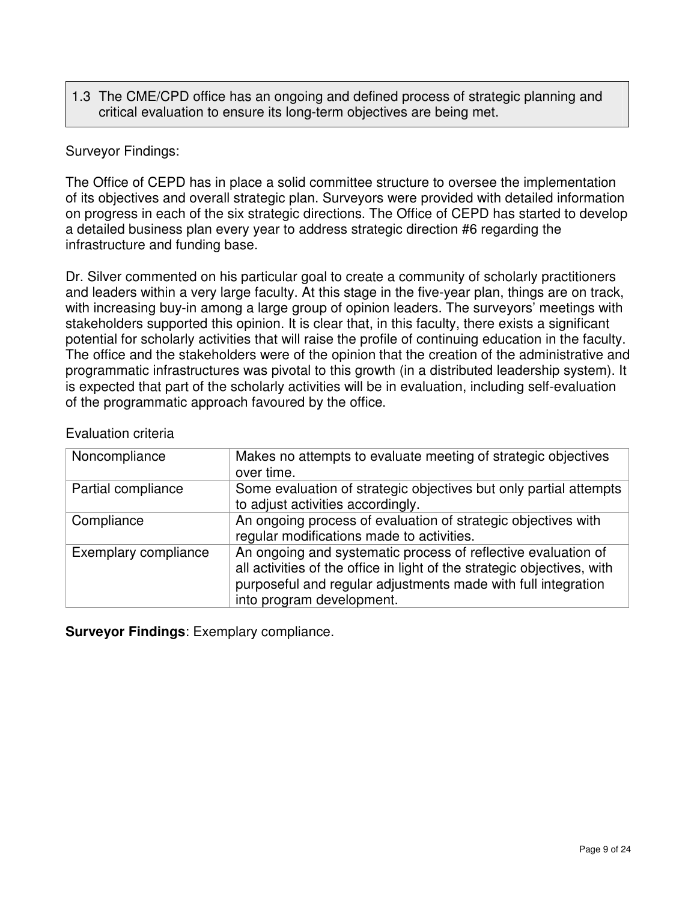# 1.3 The CME/CPD office has an ongoing and defined process of strategic planning and critical evaluation to ensure its long-term objectives are being met.

### Surveyor Findings:

The Office of CEPD has in place a solid committee structure to oversee the implementation of its objectives and overall strategic plan. Surveyors were provided with detailed information on progress in each of the six strategic directions. The Office of CEPD has started to develop a detailed business plan every year to address strategic direction #6 regarding the infrastructure and funding base.

Dr. Silver commented on his particular goal to create a community of scholarly practitioners and leaders within a very large faculty. At this stage in the five-year plan, things are on track, with increasing buy-in among a large group of opinion leaders. The surveyors' meetings with stakeholders supported this opinion. It is clear that, in this faculty, there exists a significant potential for scholarly activities that will raise the profile of continuing education in the faculty. The office and the stakeholders were of the opinion that the creation of the administrative and programmatic infrastructures was pivotal to this growth (in a distributed leadership system). It is expected that part of the scholarly activities will be in evaluation, including self-evaluation of the programmatic approach favoured by the office.

| Noncompliance        | Makes no attempts to evaluate meeting of strategic objectives<br>over time.                                                                                                                                                            |
|----------------------|----------------------------------------------------------------------------------------------------------------------------------------------------------------------------------------------------------------------------------------|
| Partial compliance   | Some evaluation of strategic objectives but only partial attempts<br>to adjust activities accordingly.                                                                                                                                 |
| Compliance           | An ongoing process of evaluation of strategic objectives with<br>regular modifications made to activities.                                                                                                                             |
| Exemplary compliance | An ongoing and systematic process of reflective evaluation of<br>all activities of the office in light of the strategic objectives, with<br>purposeful and regular adjustments made with full integration<br>into program development. |

#### Evaluation criteria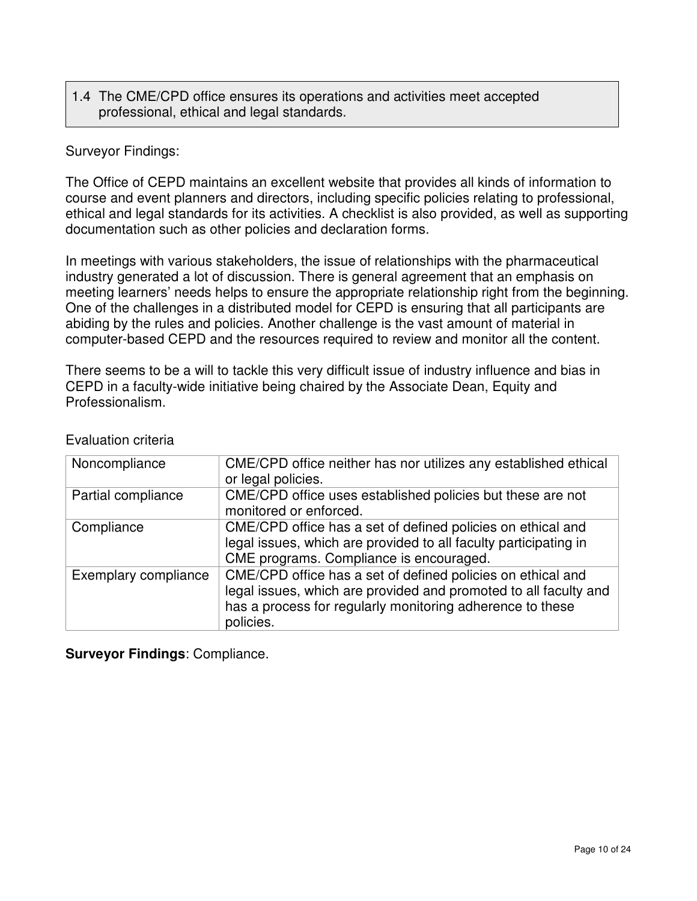### 1.4 The CME/CPD office ensures its operations and activities meet accepted professional, ethical and legal standards.

#### Surveyor Findings:

The Office of CEPD maintains an excellent website that provides all kinds of information to course and event planners and directors, including specific policies relating to professional, ethical and legal standards for its activities. A checklist is also provided, as well as supporting documentation such as other policies and declaration forms.

In meetings with various stakeholders, the issue of relationships with the pharmaceutical industry generated a lot of discussion. There is general agreement that an emphasis on meeting learners' needs helps to ensure the appropriate relationship right from the beginning. One of the challenges in a distributed model for CEPD is ensuring that all participants are abiding by the rules and policies. Another challenge is the vast amount of material in computer-based CEPD and the resources required to review and monitor all the content.

There seems to be a will to tackle this very difficult issue of industry influence and bias in CEPD in a faculty-wide initiative being chaired by the Associate Dean, Equity and Professionalism.

| Noncompliance        | CME/CPD office neither has nor utilizes any established ethical<br>or legal policies.                                                                                                                     |
|----------------------|-----------------------------------------------------------------------------------------------------------------------------------------------------------------------------------------------------------|
| Partial compliance   | CME/CPD office uses established policies but these are not<br>monitored or enforced.                                                                                                                      |
| Compliance           | CME/CPD office has a set of defined policies on ethical and<br>legal issues, which are provided to all faculty participating in<br>CME programs. Compliance is encouraged.                                |
| Exemplary compliance | CME/CPD office has a set of defined policies on ethical and<br>legal issues, which are provided and promoted to all faculty and<br>has a process for regularly monitoring adherence to these<br>policies. |

#### Evaluation criteria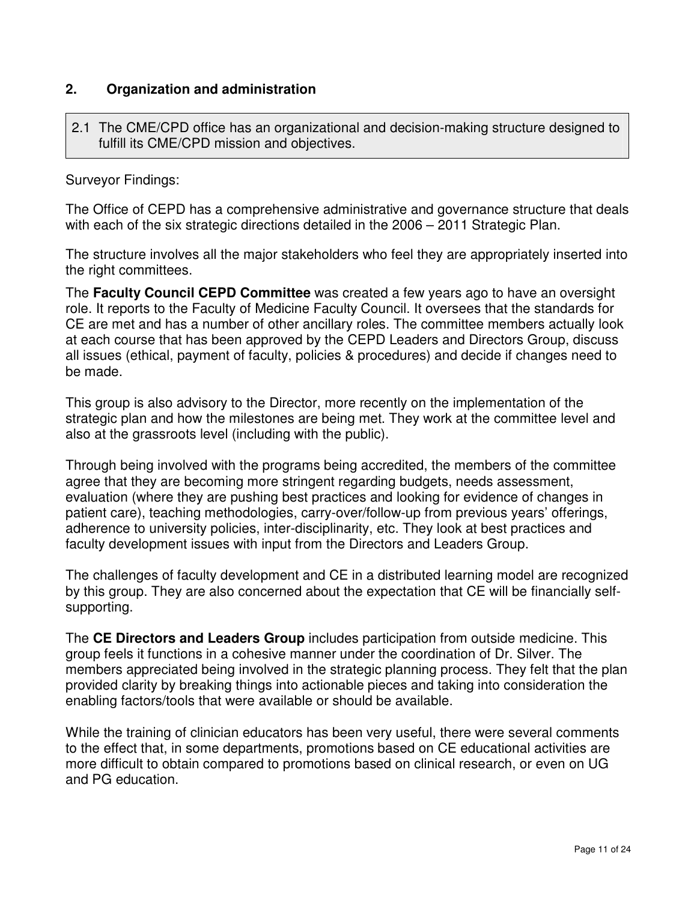# **2. Organization and administration**

2.1 The CME/CPD office has an organizational and decision-making structure designed to fulfill its CME/CPD mission and objectives.

Surveyor Findings:

The Office of CEPD has a comprehensive administrative and governance structure that deals with each of the six strategic directions detailed in the 2006 – 2011 Strategic Plan.

The structure involves all the major stakeholders who feel they are appropriately inserted into the right committees.

The **Faculty Council CEPD Committee** was created a few years ago to have an oversight role. It reports to the Faculty of Medicine Faculty Council. It oversees that the standards for CE are met and has a number of other ancillary roles. The committee members actually look at each course that has been approved by the CEPD Leaders and Directors Group, discuss all issues (ethical, payment of faculty, policies & procedures) and decide if changes need to be made.

This group is also advisory to the Director, more recently on the implementation of the strategic plan and how the milestones are being met. They work at the committee level and also at the grassroots level (including with the public).

Through being involved with the programs being accredited, the members of the committee agree that they are becoming more stringent regarding budgets, needs assessment, evaluation (where they are pushing best practices and looking for evidence of changes in patient care), teaching methodologies, carry-over/follow-up from previous years' offerings, adherence to university policies, inter-disciplinarity, etc. They look at best practices and faculty development issues with input from the Directors and Leaders Group.

The challenges of faculty development and CE in a distributed learning model are recognized by this group. They are also concerned about the expectation that CE will be financially selfsupporting.

The **CE Directors and Leaders Group** includes participation from outside medicine. This group feels it functions in a cohesive manner under the coordination of Dr. Silver. The members appreciated being involved in the strategic planning process. They felt that the plan provided clarity by breaking things into actionable pieces and taking into consideration the enabling factors/tools that were available or should be available.

While the training of clinician educators has been very useful, there were several comments to the effect that, in some departments, promotions based on CE educational activities are more difficult to obtain compared to promotions based on clinical research, or even on UG and PG education.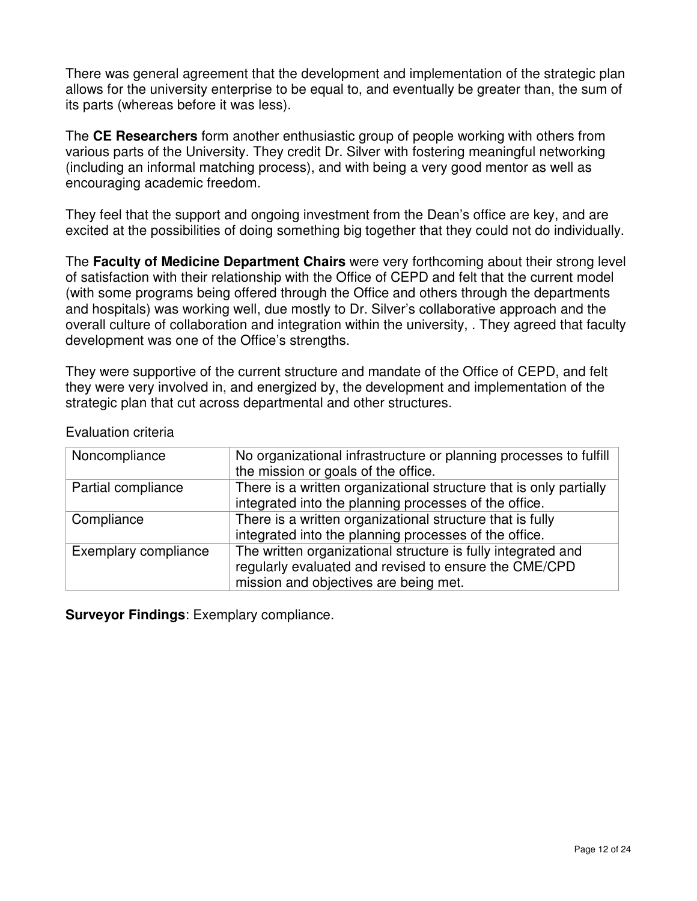There was general agreement that the development and implementation of the strategic plan allows for the university enterprise to be equal to, and eventually be greater than, the sum of its parts (whereas before it was less).

The **CE Researchers** form another enthusiastic group of people working with others from various parts of the University. They credit Dr. Silver with fostering meaningful networking (including an informal matching process), and with being a very good mentor as well as encouraging academic freedom.

They feel that the support and ongoing investment from the Dean's office are key, and are excited at the possibilities of doing something big together that they could not do individually.

The **Faculty of Medicine Department Chairs** were very forthcoming about their strong level of satisfaction with their relationship with the Office of CEPD and felt that the current model (with some programs being offered through the Office and others through the departments and hospitals) was working well, due mostly to Dr. Silver's collaborative approach and the overall culture of collaboration and integration within the university, . They agreed that faculty development was one of the Office's strengths.

They were supportive of the current structure and mandate of the Office of CEPD, and felt they were very involved in, and energized by, the development and implementation of the strategic plan that cut across departmental and other structures.

| Noncompliance        | No organizational infrastructure or planning processes to fulfill<br>the mission or goals of the office.                                                       |
|----------------------|----------------------------------------------------------------------------------------------------------------------------------------------------------------|
| Partial compliance   | There is a written organizational structure that is only partially<br>integrated into the planning processes of the office.                                    |
| Compliance           | There is a written organizational structure that is fully<br>integrated into the planning processes of the office.                                             |
| Exemplary compliance | The written organizational structure is fully integrated and<br>regularly evaluated and revised to ensure the CME/CPD<br>mission and objectives are being met. |

Evaluation criteria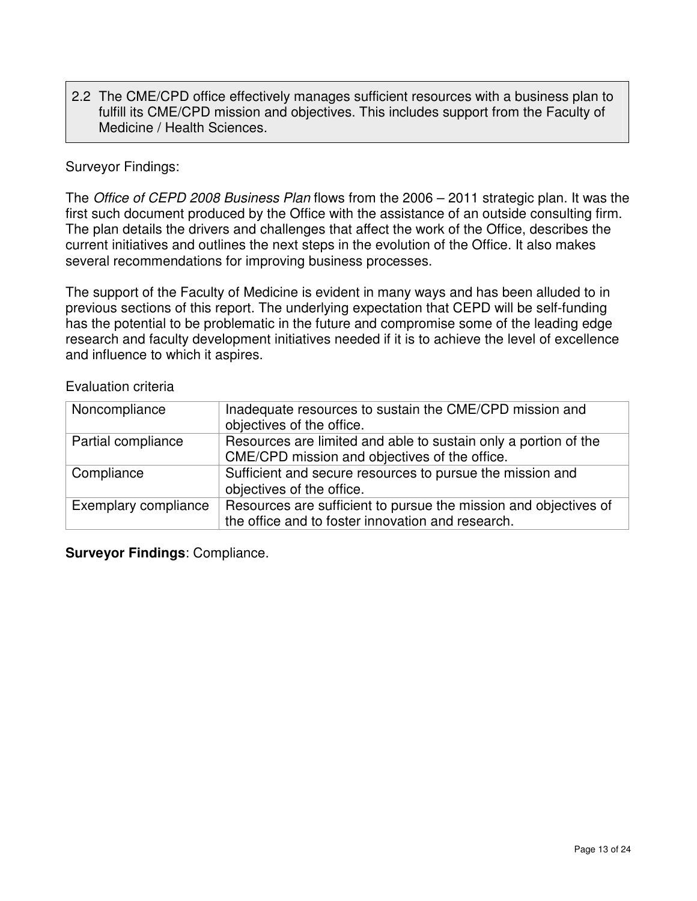2.2 The CME/CPD office effectively manages sufficient resources with a business plan to fulfill its CME/CPD mission and objectives. This includes support from the Faculty of Medicine / Health Sciences.

#### Surveyor Findings:

The Office of CEPD 2008 Business Plan flows from the 2006 - 2011 strategic plan. It was the first such document produced by the Office with the assistance of an outside consulting firm. The plan details the drivers and challenges that affect the work of the Office, describes the current initiatives and outlines the next steps in the evolution of the Office. It also makes several recommendations for improving business processes.

The support of the Faculty of Medicine is evident in many ways and has been alluded to in previous sections of this report. The underlying expectation that CEPD will be self-funding has the potential to be problematic in the future and compromise some of the leading edge research and faculty development initiatives needed if it is to achieve the level of excellence and influence to which it aspires.

Evaluation criteria

| Noncompliance        | Inadequate resources to sustain the CME/CPD mission and<br>objectives of the office.                                  |
|----------------------|-----------------------------------------------------------------------------------------------------------------------|
| Partial compliance   | Resources are limited and able to sustain only a portion of the<br>CME/CPD mission and objectives of the office.      |
| Compliance           | Sufficient and secure resources to pursue the mission and<br>objectives of the office.                                |
| Exemplary compliance | Resources are sufficient to pursue the mission and objectives of<br>the office and to foster innovation and research. |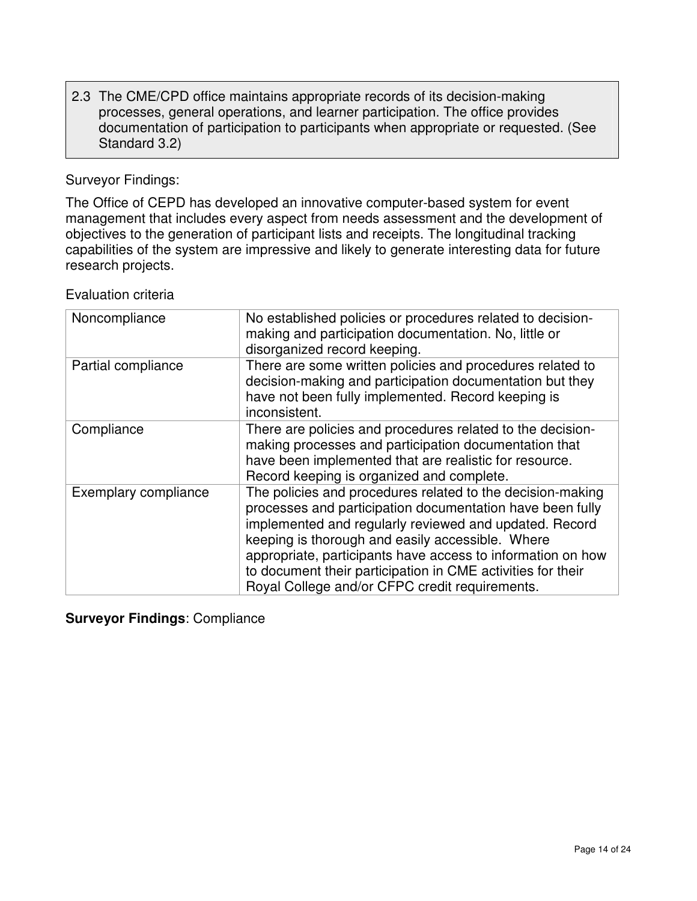### 2.3 The CME/CPD office maintains appropriate records of its decision-making processes, general operations, and learner participation. The office provides documentation of participation to participants when appropriate or requested. (See Standard 3.2)

Surveyor Findings:

The Office of CEPD has developed an innovative computer-based system for event management that includes every aspect from needs assessment and the development of objectives to the generation of participant lists and receipts. The longitudinal tracking capabilities of the system are impressive and likely to generate interesting data for future research projects.

Evaluation criteria

| Noncompliance        | No established policies or procedures related to decision-<br>making and participation documentation. No, little or<br>disorganized record keeping.                                                                                                                                                                                                                                                                   |
|----------------------|-----------------------------------------------------------------------------------------------------------------------------------------------------------------------------------------------------------------------------------------------------------------------------------------------------------------------------------------------------------------------------------------------------------------------|
| Partial compliance   | There are some written policies and procedures related to<br>decision-making and participation documentation but they<br>have not been fully implemented. Record keeping is<br>inconsistent.                                                                                                                                                                                                                          |
| Compliance           | There are policies and procedures related to the decision-<br>making processes and participation documentation that<br>have been implemented that are realistic for resource.<br>Record keeping is organized and complete.                                                                                                                                                                                            |
| Exemplary compliance | The policies and procedures related to the decision-making<br>processes and participation documentation have been fully<br>implemented and regularly reviewed and updated. Record<br>keeping is thorough and easily accessible. Where<br>appropriate, participants have access to information on how<br>to document their participation in CME activities for their<br>Royal College and/or CFPC credit requirements. |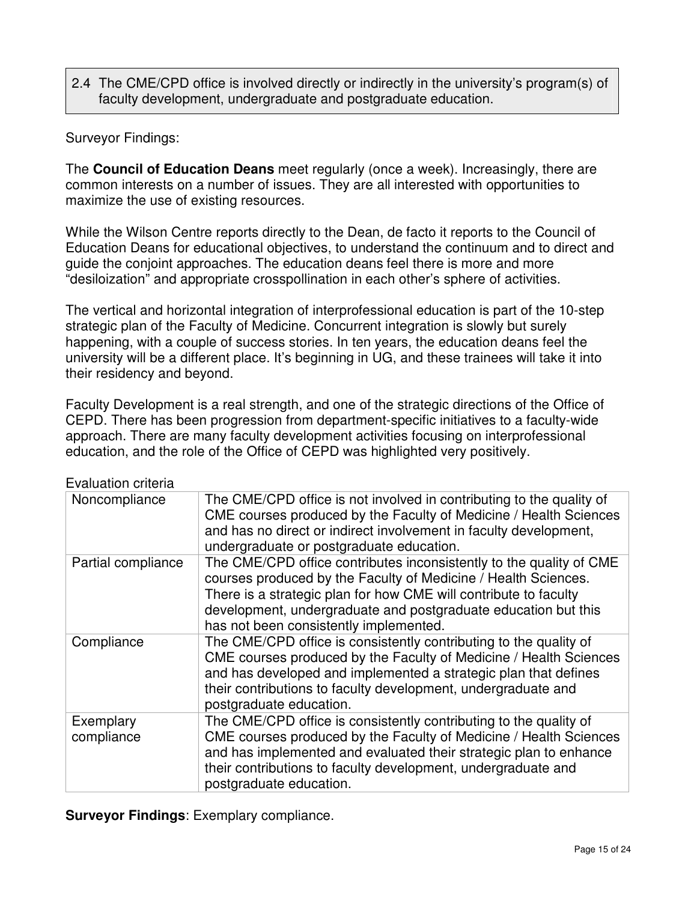# 2.4 The CME/CPD office is involved directly or indirectly in the university's program(s) of faculty development, undergraduate and postgraduate education.

### Surveyor Findings:

The **Council of Education Deans** meet regularly (once a week). Increasingly, there are common interests on a number of issues. They are all interested with opportunities to maximize the use of existing resources.

While the Wilson Centre reports directly to the Dean, de facto it reports to the Council of Education Deans for educational objectives, to understand the continuum and to direct and guide the conjoint approaches. The education deans feel there is more and more "desiloization" and appropriate crosspollination in each other's sphere of activities.

The vertical and horizontal integration of interprofessional education is part of the 10-step strategic plan of the Faculty of Medicine. Concurrent integration is slowly but surely happening, with a couple of success stories. In ten years, the education deans feel the university will be a different place. It's beginning in UG, and these trainees will take it into their residency and beyond.

Faculty Development is a real strength, and one of the strategic directions of the Office of CEPD. There has been progression from department-specific initiatives to a faculty-wide approach. There are many faculty development activities focusing on interprofessional education, and the role of the Office of CEPD was highlighted very positively.

| . valuation ontona      |                                                                                                                                                                                                                                                                                                                       |
|-------------------------|-----------------------------------------------------------------------------------------------------------------------------------------------------------------------------------------------------------------------------------------------------------------------------------------------------------------------|
| Noncompliance           | The CME/CPD office is not involved in contributing to the quality of<br>CME courses produced by the Faculty of Medicine / Health Sciences<br>and has no direct or indirect involvement in faculty development,<br>undergraduate or postgraduate education.                                                            |
| Partial compliance      | The CME/CPD office contributes inconsistently to the quality of CME<br>courses produced by the Faculty of Medicine / Health Sciences.<br>There is a strategic plan for how CME will contribute to faculty<br>development, undergraduate and postgraduate education but this<br>has not been consistently implemented. |
| Compliance              | The CME/CPD office is consistently contributing to the quality of<br>CME courses produced by the Faculty of Medicine / Health Sciences<br>and has developed and implemented a strategic plan that defines<br>their contributions to faculty development, undergraduate and<br>postgraduate education.                 |
| Exemplary<br>compliance | The CME/CPD office is consistently contributing to the quality of<br>CME courses produced by the Faculty of Medicine / Health Sciences<br>and has implemented and evaluated their strategic plan to enhance<br>their contributions to faculty development, undergraduate and<br>postgraduate education.               |

Evaluation criteria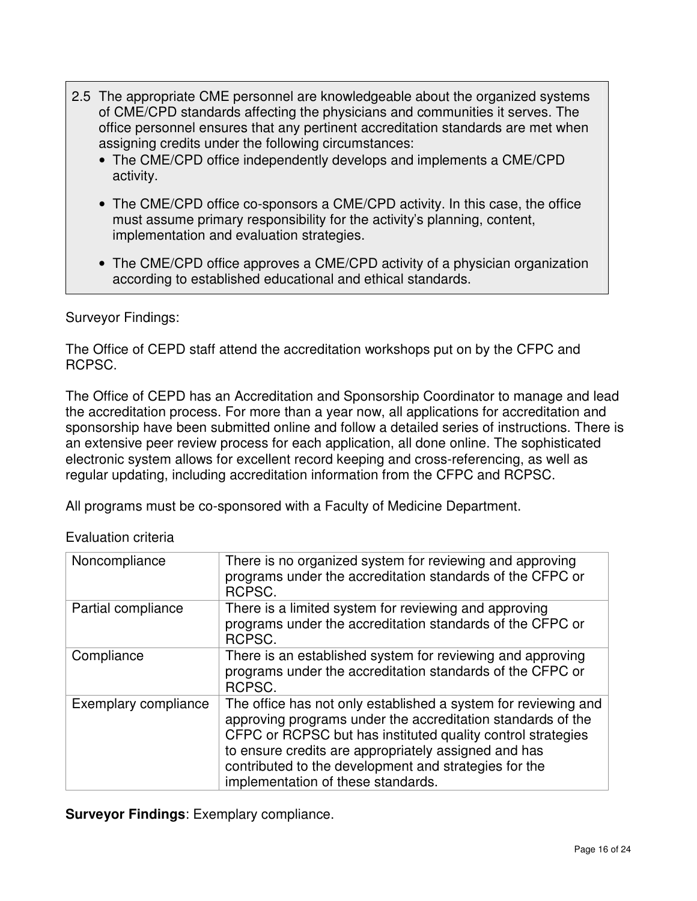- 2.5 The appropriate CME personnel are knowledgeable about the organized systems of CME/CPD standards affecting the physicians and communities it serves. The office personnel ensures that any pertinent accreditation standards are met when assigning credits under the following circumstances:
	- The CME/CPD office independently develops and implements a CME/CPD activity.
	- The CME/CPD office co-sponsors a CME/CPD activity. In this case, the office must assume primary responsibility for the activity's planning, content, implementation and evaluation strategies.
	- The CME/CPD office approves a CME/CPD activity of a physician organization according to established educational and ethical standards.

# Surveyor Findings:

The Office of CEPD staff attend the accreditation workshops put on by the CFPC and RCPSC.

The Office of CEPD has an Accreditation and Sponsorship Coordinator to manage and lead the accreditation process. For more than a year now, all applications for accreditation and sponsorship have been submitted online and follow a detailed series of instructions. There is an extensive peer review process for each application, all done online. The sophisticated electronic system allows for excellent record keeping and cross-referencing, as well as regular updating, including accreditation information from the CFPC and RCPSC.

All programs must be co-sponsored with a Faculty of Medicine Department.

| Noncompliance        | There is no organized system for reviewing and approving<br>programs under the accreditation standards of the CFPC or<br>RCPSC.                                                                                                                                                                                                                     |
|----------------------|-----------------------------------------------------------------------------------------------------------------------------------------------------------------------------------------------------------------------------------------------------------------------------------------------------------------------------------------------------|
| Partial compliance   | There is a limited system for reviewing and approving<br>programs under the accreditation standards of the CFPC or<br>RCPSC.                                                                                                                                                                                                                        |
| Compliance           | There is an established system for reviewing and approving<br>programs under the accreditation standards of the CFPC or<br>RCPSC.                                                                                                                                                                                                                   |
| Exemplary compliance | The office has not only established a system for reviewing and<br>approving programs under the accreditation standards of the<br>CFPC or RCPSC but has instituted quality control strategies<br>to ensure credits are appropriately assigned and has<br>contributed to the development and strategies for the<br>implementation of these standards. |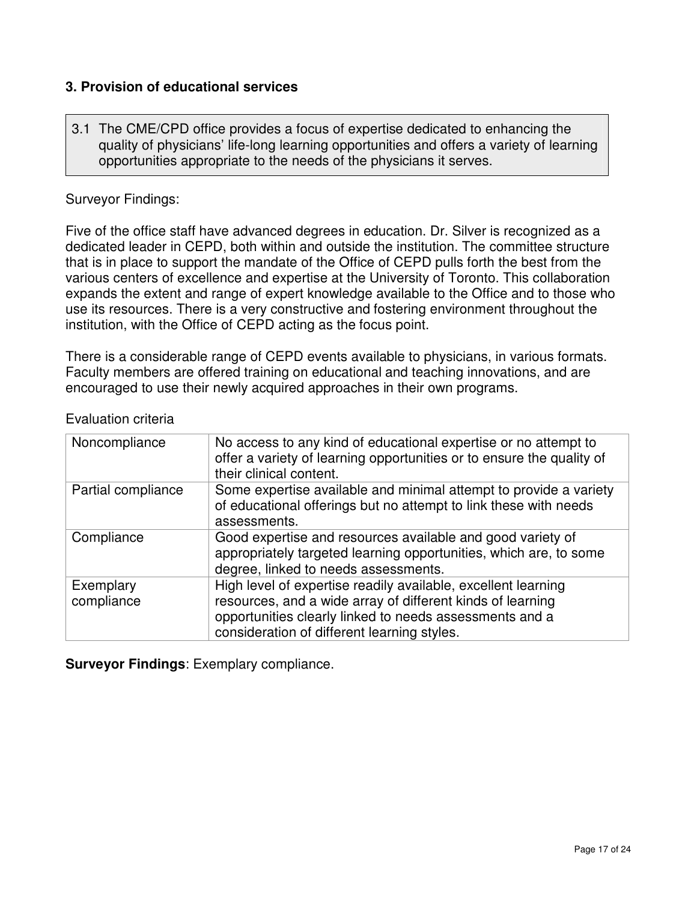# **3. Provision of educational services**

3.1 The CME/CPD office provides a focus of expertise dedicated to enhancing the quality of physicians' life-long learning opportunities and offers a variety of learning opportunities appropriate to the needs of the physicians it serves.

#### Surveyor Findings:

Five of the office staff have advanced degrees in education. Dr. Silver is recognized as a dedicated leader in CEPD, both within and outside the institution. The committee structure that is in place to support the mandate of the Office of CEPD pulls forth the best from the various centers of excellence and expertise at the University of Toronto. This collaboration expands the extent and range of expert knowledge available to the Office and to those who use its resources. There is a very constructive and fostering environment throughout the institution, with the Office of CEPD acting as the focus point.

There is a considerable range of CEPD events available to physicians, in various formats. Faculty members are offered training on educational and teaching innovations, and are encouraged to use their newly acquired approaches in their own programs.

| Noncompliance           | No access to any kind of educational expertise or no attempt to<br>offer a variety of learning opportunities or to ensure the quality of<br>their clinical content.                                                                   |
|-------------------------|---------------------------------------------------------------------------------------------------------------------------------------------------------------------------------------------------------------------------------------|
| Partial compliance      | Some expertise available and minimal attempt to provide a variety<br>of educational offerings but no attempt to link these with needs<br>assessments.                                                                                 |
| Compliance              | Good expertise and resources available and good variety of<br>appropriately targeted learning opportunities, which are, to some<br>degree, linked to needs assessments.                                                               |
| Exemplary<br>compliance | High level of expertise readily available, excellent learning<br>resources, and a wide array of different kinds of learning<br>opportunities clearly linked to needs assessments and a<br>consideration of different learning styles. |

#### Evaluation criteria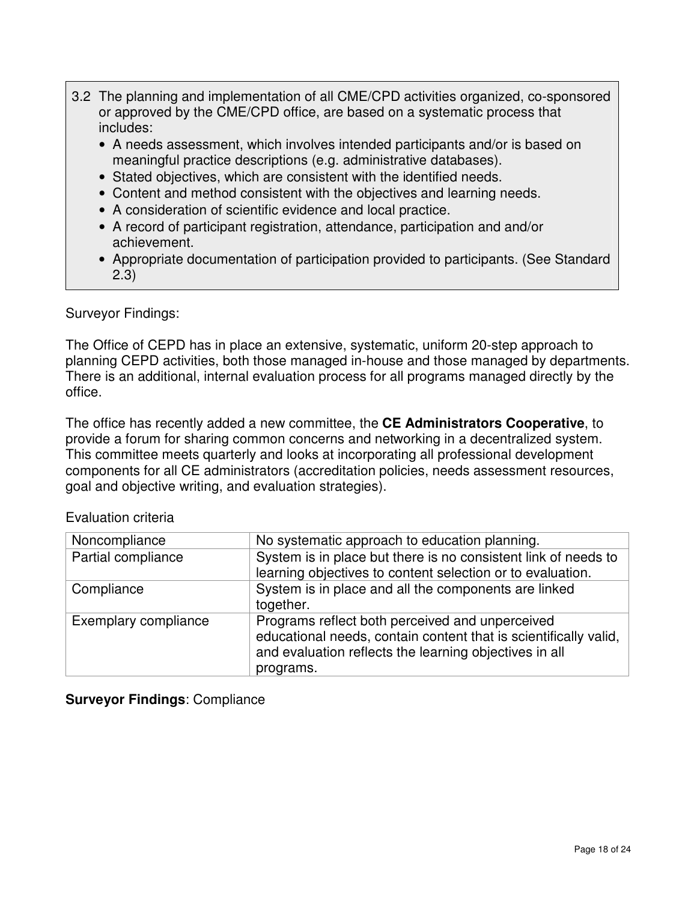- 3.2 The planning and implementation of all CME/CPD activities organized, co-sponsored or approved by the CME/CPD office, are based on a systematic process that includes:
	- A needs assessment, which involves intended participants and/or is based on meaningful practice descriptions (e.g. administrative databases).
	- Stated objectives, which are consistent with the identified needs.
	- Content and method consistent with the objectives and learning needs.
	- A consideration of scientific evidence and local practice.
	- A record of participant registration, attendance, participation and and/or achievement.
	- Appropriate documentation of participation provided to participants. (See Standard 2.3)

Surveyor Findings:

The Office of CEPD has in place an extensive, systematic, uniform 20-step approach to planning CEPD activities, both those managed in-house and those managed by departments. There is an additional, internal evaluation process for all programs managed directly by the office.

The office has recently added a new committee, the **CE Administrators Cooperative**, to provide a forum for sharing common concerns and networking in a decentralized system. This committee meets quarterly and looks at incorporating all professional development components for all CE administrators (accreditation policies, needs assessment resources, goal and objective writing, and evaluation strategies).

| Noncompliance        | No systematic approach to education planning.                                                                                                                                 |
|----------------------|-------------------------------------------------------------------------------------------------------------------------------------------------------------------------------|
| Partial compliance   | System is in place but there is no consistent link of needs to                                                                                                                |
|                      | learning objectives to content selection or to evaluation.                                                                                                                    |
| Compliance           | System is in place and all the components are linked                                                                                                                          |
|                      | together.                                                                                                                                                                     |
| Exemplary compliance | Programs reflect both perceived and unperceived<br>educational needs, contain content that is scientifically valid,<br>and evaluation reflects the learning objectives in all |
|                      | programs.                                                                                                                                                                     |

Evaluation criteria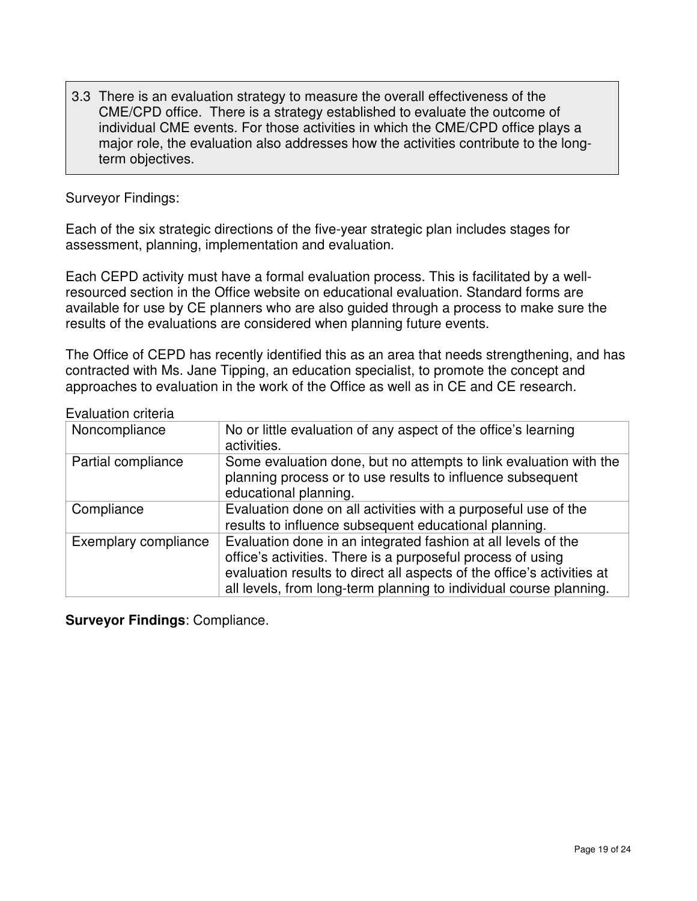3.3 There is an evaluation strategy to measure the overall effectiveness of the CME/CPD office. There is a strategy established to evaluate the outcome of individual CME events. For those activities in which the CME/CPD office plays a major role, the evaluation also addresses how the activities contribute to the longterm objectives.

#### Surveyor Findings:

Each of the six strategic directions of the five-year strategic plan includes stages for assessment, planning, implementation and evaluation.

Each CEPD activity must have a formal evaluation process. This is facilitated by a wellresourced section in the Office website on educational evaluation. Standard forms are available for use by CE planners who are also guided through a process to make sure the results of the evaluations are considered when planning future events.

The Office of CEPD has recently identified this as an area that needs strengthening, and has contracted with Ms. Jane Tipping, an education specialist, to promote the concept and approaches to evaluation in the work of the Office as well as in CE and CE research.

Evaluation criteria

| Noncompliance        | No or little evaluation of any aspect of the office's learning<br>activities.                                                                                                                                                                                                |  |
|----------------------|------------------------------------------------------------------------------------------------------------------------------------------------------------------------------------------------------------------------------------------------------------------------------|--|
| Partial compliance   | Some evaluation done, but no attempts to link evaluation with the<br>planning process or to use results to influence subsequent<br>educational planning.                                                                                                                     |  |
| Compliance           | Evaluation done on all activities with a purposeful use of the<br>results to influence subsequent educational planning.                                                                                                                                                      |  |
| Exemplary compliance | Evaluation done in an integrated fashion at all levels of the<br>office's activities. There is a purposeful process of using<br>evaluation results to direct all aspects of the office's activities at<br>all levels, from long-term planning to individual course planning. |  |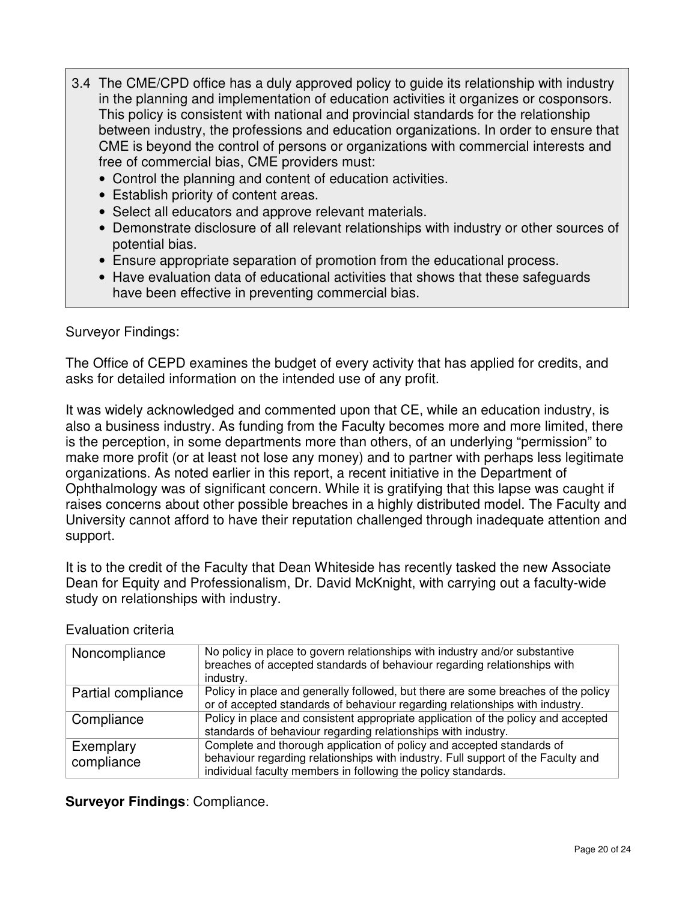- 3.4 The CME/CPD office has a duly approved policy to guide its relationship with industry in the planning and implementation of education activities it organizes or cosponsors. This policy is consistent with national and provincial standards for the relationship between industry, the professions and education organizations. In order to ensure that CME is beyond the control of persons or organizations with commercial interests and free of commercial bias, CME providers must:
	- Control the planning and content of education activities.
	- Establish priority of content areas.
	- Select all educators and approve relevant materials.
	- Demonstrate disclosure of all relevant relationships with industry or other sources of potential bias.
	- Ensure appropriate separation of promotion from the educational process.
	- Have evaluation data of educational activities that shows that these safeguards have been effective in preventing commercial bias.

#### Surveyor Findings:

The Office of CEPD examines the budget of every activity that has applied for credits, and asks for detailed information on the intended use of any profit.

It was widely acknowledged and commented upon that CE, while an education industry, is also a business industry. As funding from the Faculty becomes more and more limited, there is the perception, in some departments more than others, of an underlying "permission" to make more profit (or at least not lose any money) and to partner with perhaps less legitimate organizations. As noted earlier in this report, a recent initiative in the Department of Ophthalmology was of significant concern. While it is gratifying that this lapse was caught if raises concerns about other possible breaches in a highly distributed model. The Faculty and University cannot afford to have their reputation challenged through inadequate attention and support.

It is to the credit of the Faculty that Dean Whiteside has recently tasked the new Associate Dean for Equity and Professionalism, Dr. David McKnight, with carrying out a faculty-wide study on relationships with industry.

| Noncompliance      | No policy in place to govern relationships with industry and/or substantive<br>breaches of accepted standards of behaviour regarding relationships with |
|--------------------|---------------------------------------------------------------------------------------------------------------------------------------------------------|
|                    | industry.                                                                                                                                               |
| Partial compliance | Policy in place and generally followed, but there are some breaches of the policy                                                                       |
|                    | or of accepted standards of behaviour regarding relationships with industry.                                                                            |
| Compliance         | Policy in place and consistent appropriate application of the policy and accepted                                                                       |
|                    | standards of behaviour regarding relationships with industry.                                                                                           |
| Exemplary          | Complete and thorough application of policy and accepted standards of                                                                                   |
| compliance         | behaviour regarding relationships with industry. Full support of the Faculty and                                                                        |
|                    | individual faculty members in following the policy standards.                                                                                           |

#### Evaluation criteria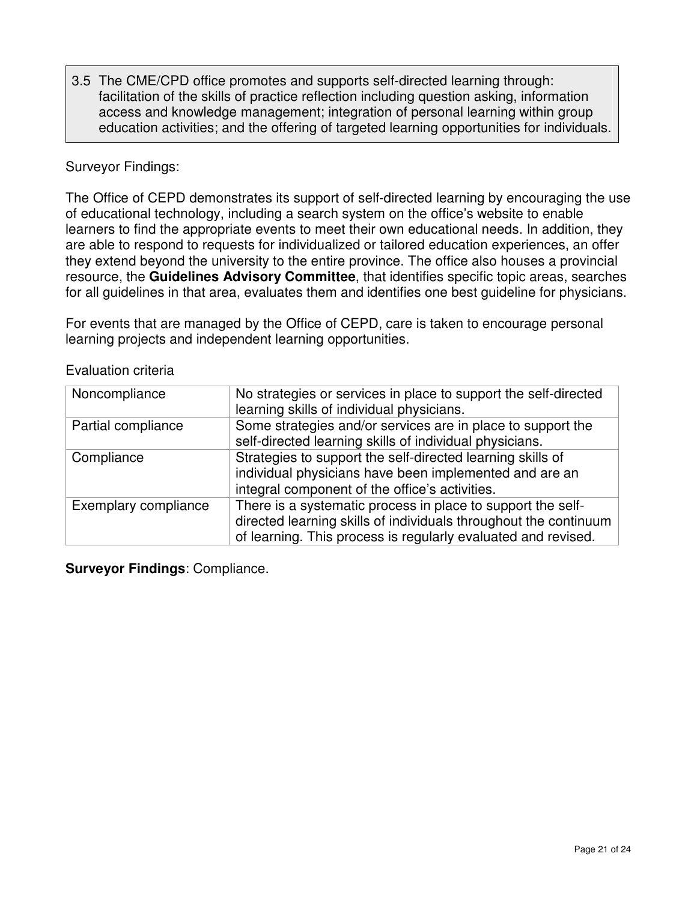3.5 The CME/CPD office promotes and supports self-directed learning through: facilitation of the skills of practice reflection including question asking, information access and knowledge management; integration of personal learning within group education activities; and the offering of targeted learning opportunities for individuals.

### Surveyor Findings:

The Office of CEPD demonstrates its support of self-directed learning by encouraging the use of educational technology, including a search system on the office's website to enable learners to find the appropriate events to meet their own educational needs. In addition, they are able to respond to requests for individualized or tailored education experiences, an offer they extend beyond the university to the entire province. The office also houses a provincial resource, the **Guidelines Advisory Committee**, that identifies specific topic areas, searches for all guidelines in that area, evaluates them and identifies one best guideline for physicians.

For events that are managed by the Office of CEPD, care is taken to encourage personal learning projects and independent learning opportunities.

| Noncompliance        | No strategies or services in place to support the self-directed<br>learning skills of individual physicians.                                                                                     |
|----------------------|--------------------------------------------------------------------------------------------------------------------------------------------------------------------------------------------------|
| Partial compliance   | Some strategies and/or services are in place to support the<br>self-directed learning skills of individual physicians.                                                                           |
| Compliance           | Strategies to support the self-directed learning skills of<br>individual physicians have been implemented and are an<br>integral component of the office's activities.                           |
| Exemplary compliance | There is a systematic process in place to support the self-<br>directed learning skills of individuals throughout the continuum<br>of learning. This process is regularly evaluated and revised. |

Evaluation criteria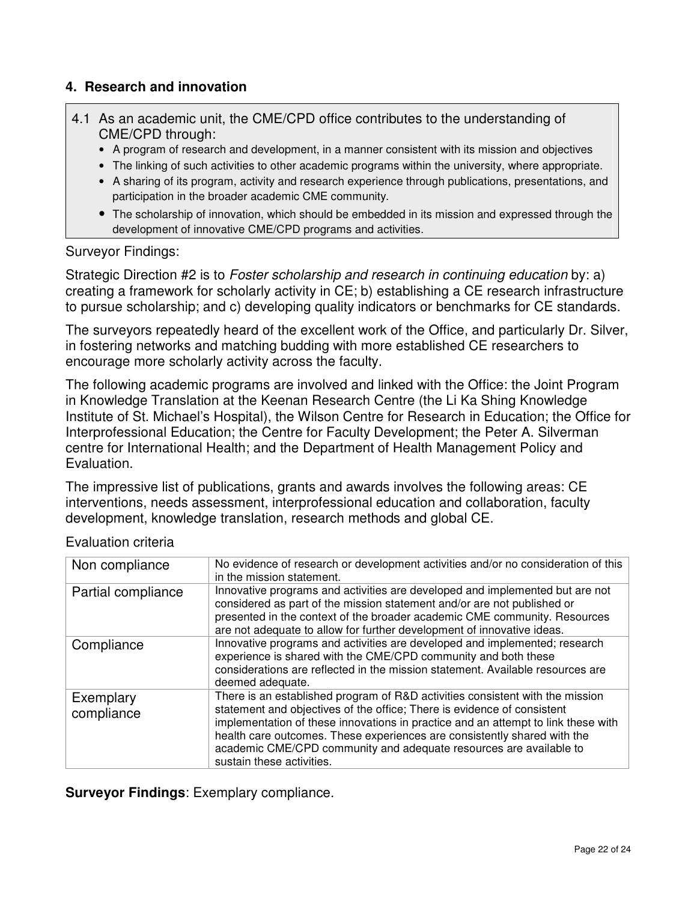# **4. Research and innovation**

- 4.1 As an academic unit, the CME/CPD office contributes to the understanding of CME/CPD through:
	- A program of research and development, in a manner consistent with its mission and objectives
	- The linking of such activities to other academic programs within the university, where appropriate.
	- A sharing of its program, activity and research experience through publications, presentations, and participation in the broader academic CME community.
	- The scholarship of innovation, which should be embedded in its mission and expressed through the development of innovative CME/CPD programs and activities.

#### Surveyor Findings:

Strategic Direction #2 is to Foster scholarship and research in continuing education by: a) creating a framework for scholarly activity in CE; b) establishing a CE research infrastructure to pursue scholarship; and c) developing quality indicators or benchmarks for CE standards.

The surveyors repeatedly heard of the excellent work of the Office, and particularly Dr. Silver, in fostering networks and matching budding with more established CE researchers to encourage more scholarly activity across the faculty.

The following academic programs are involved and linked with the Office: the Joint Program in Knowledge Translation at the Keenan Research Centre (the Li Ka Shing Knowledge Institute of St. Michael's Hospital), the Wilson Centre for Research in Education; the Office for Interprofessional Education; the Centre for Faculty Development; the Peter A. Silverman centre for International Health; and the Department of Health Management Policy and Evaluation.

The impressive list of publications, grants and awards involves the following areas: CE interventions, needs assessment, interprofessional education and collaboration, faculty development, knowledge translation, research methods and global CE.

| Non compliance          | No evidence of research or development activities and/or no consideration of this<br>in the mission statement.                                                                                                                                                                                                                                                                                                               |
|-------------------------|------------------------------------------------------------------------------------------------------------------------------------------------------------------------------------------------------------------------------------------------------------------------------------------------------------------------------------------------------------------------------------------------------------------------------|
| Partial compliance      | Innovative programs and activities are developed and implemented but are not<br>considered as part of the mission statement and/or are not published or<br>presented in the context of the broader academic CME community. Resources<br>are not adequate to allow for further development of innovative ideas.                                                                                                               |
| Compliance              | Innovative programs and activities are developed and implemented; research<br>experience is shared with the CME/CPD community and both these<br>considerations are reflected in the mission statement. Available resources are<br>deemed adequate.                                                                                                                                                                           |
| Exemplary<br>compliance | There is an established program of R&D activities consistent with the mission<br>statement and objectives of the office; There is evidence of consistent<br>implementation of these innovations in practice and an attempt to link these with<br>health care outcomes. These experiences are consistently shared with the<br>academic CME/CPD community and adequate resources are available to<br>sustain these activities. |

Evaluation criteria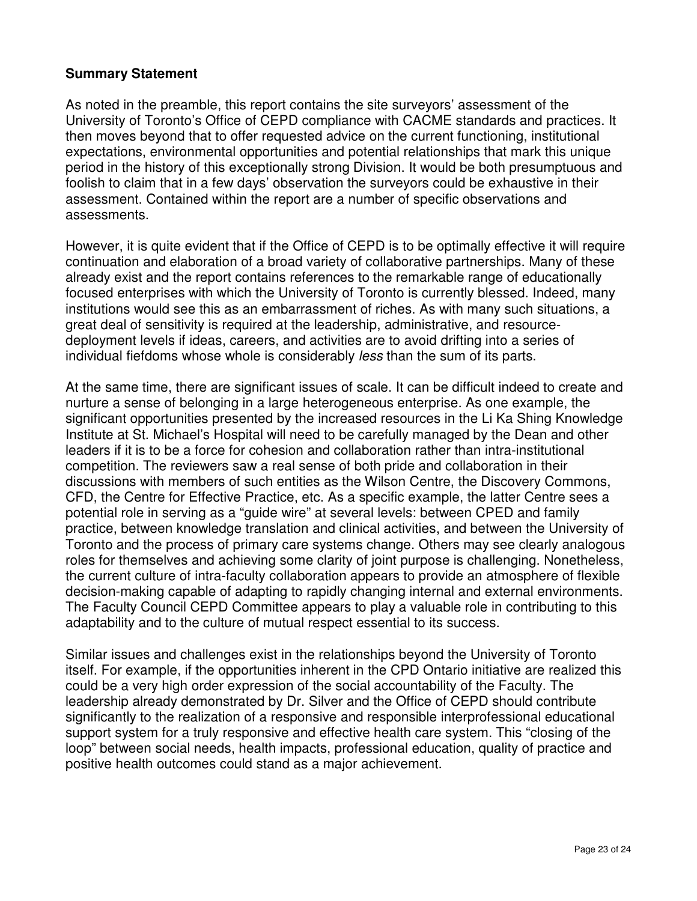#### **Summary Statement**

As noted in the preamble, this report contains the site surveyors' assessment of the University of Toronto's Office of CEPD compliance with CACME standards and practices. It then moves beyond that to offer requested advice on the current functioning, institutional expectations, environmental opportunities and potential relationships that mark this unique period in the history of this exceptionally strong Division. It would be both presumptuous and foolish to claim that in a few days' observation the surveyors could be exhaustive in their assessment. Contained within the report are a number of specific observations and assessments.

However, it is quite evident that if the Office of CEPD is to be optimally effective it will require continuation and elaboration of a broad variety of collaborative partnerships. Many of these already exist and the report contains references to the remarkable range of educationally focused enterprises with which the University of Toronto is currently blessed. Indeed, many institutions would see this as an embarrassment of riches. As with many such situations, a great deal of sensitivity is required at the leadership, administrative, and resourcedeployment levels if ideas, careers, and activities are to avoid drifting into a series of individual fiefdoms whose whole is considerably less than the sum of its parts.

At the same time, there are significant issues of scale. It can be difficult indeed to create and nurture a sense of belonging in a large heterogeneous enterprise. As one example, the significant opportunities presented by the increased resources in the Li Ka Shing Knowledge Institute at St. Michael's Hospital will need to be carefully managed by the Dean and other leaders if it is to be a force for cohesion and collaboration rather than intra-institutional competition. The reviewers saw a real sense of both pride and collaboration in their discussions with members of such entities as the Wilson Centre, the Discovery Commons, CFD, the Centre for Effective Practice, etc. As a specific example, the latter Centre sees a potential role in serving as a "guide wire" at several levels: between CPED and family practice, between knowledge translation and clinical activities, and between the University of Toronto and the process of primary care systems change. Others may see clearly analogous roles for themselves and achieving some clarity of joint purpose is challenging. Nonetheless, the current culture of intra-faculty collaboration appears to provide an atmosphere of flexible decision-making capable of adapting to rapidly changing internal and external environments. The Faculty Council CEPD Committee appears to play a valuable role in contributing to this adaptability and to the culture of mutual respect essential to its success.

Similar issues and challenges exist in the relationships beyond the University of Toronto itself. For example, if the opportunities inherent in the CPD Ontario initiative are realized this could be a very high order expression of the social accountability of the Faculty. The leadership already demonstrated by Dr. Silver and the Office of CEPD should contribute significantly to the realization of a responsive and responsible interprofessional educational support system for a truly responsive and effective health care system. This "closing of the loop" between social needs, health impacts, professional education, quality of practice and positive health outcomes could stand as a major achievement.